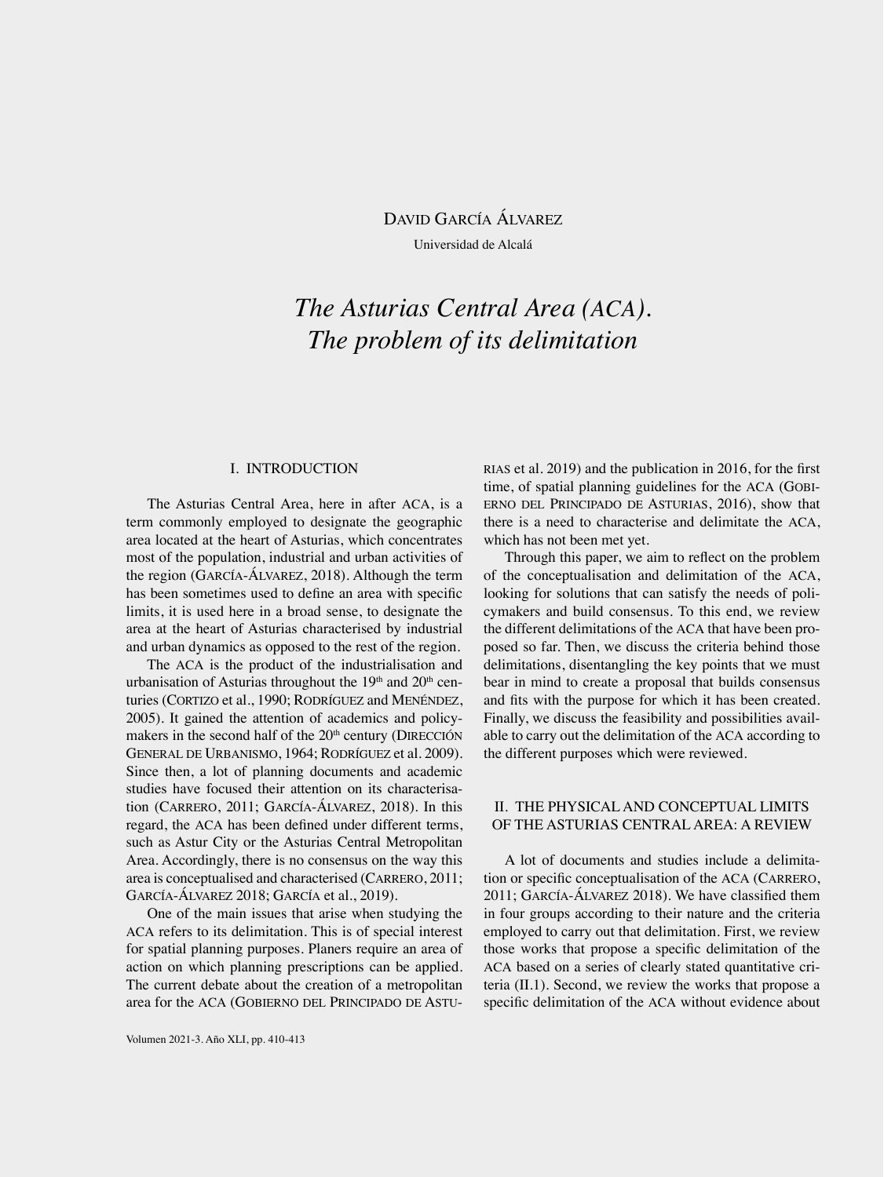David García Álvarez Universidad de Alcalá

# *The Asturias Central Area (ACA). The problem of its delimitation*

# I. INTRODUCTION

The Asturias Central Area, here in after ACA, is a term commonly employed to designate the geographic area located at the heart of Asturias, which concentrates most of the population, industrial and urban activities of the region (García-Álvarez, 2018). Although the term has been sometimes used to define an area with specific limits, it is used here in a broad sense, to designate the area at the heart of Asturias characterised by industrial and urban dynamics as opposed to the rest of the region.

The ACA is the product of the industrialisation and urbanisation of Asturias throughout the  $19<sup>th</sup>$  and  $20<sup>th</sup>$  centuries (CORTIZO et al., 1990; RODRÍGUEZ and MENÉNDEZ, 2005). It gained the attention of academics and policymakers in the second half of the 20<sup>th</sup> century (DIRECCIÓN General de Urbanismo, 1964; Rodríguez et al. 2009). Since then, a lot of planning documents and academic studies have focused their attention on its characterisation (Carrero, 2011; García-Álvarez, 2018). In this regard, the ACA has been defined under different terms, such as Astur City or the Asturias Central Metropolitan Area. Accordingly, there is no consensus on the way this area is conceptualised and characterised (CARRERO, 2011; García-Álvarez 2018; García et al., 2019).

One of the main issues that arise when studying the ACA refers to its delimitation. This is of special interest for spatial planning purposes. Planers require an area of action on which planning prescriptions can be applied. The current debate about the creation of a metropolitan area for the ACA (Gobierno del Principado de AstuRIAS et al. 2019) and the publication in 2016, for the first time, of spatial planning guidelines for the ACA (Gobierno del Principado de Asturias, 2016), show that there is a need to characterise and delimitate the ACA, which has not been met yet.

Through this paper, we aim to reflect on the problem of the conceptualisation and delimitation of the ACA, looking for solutions that can satisfy the needs of policymakers and build consensus. To this end, we review the different delimitations of the ACA that have been proposed so far. Then, we discuss the criteria behind those delimitations, disentangling the key points that we must bear in mind to create a proposal that builds consensus and fits with the purpose for which it has been created. Finally, we discuss the feasibility and possibilities available to carry out the delimitation of the ACA according to the different purposes which were reviewed.

# II. THE PHYSICAL AND CONCEPTUAL LIMITS OF THE ASTURIAS CENTRAL AREA: A REVIEW

A lot of documents and studies include a delimitation or specific conceptualisation of the ACA (CARRERO, 2011; García-Álvarez 2018). We have classified them in four groups according to their nature and the criteria employed to carry out that delimitation. First, we review those works that propose a specific delimitation of the ACA based on a series of clearly stated quantitative criteria (II.1). Second, we review the works that propose a specific delimitation of the ACA without evidence about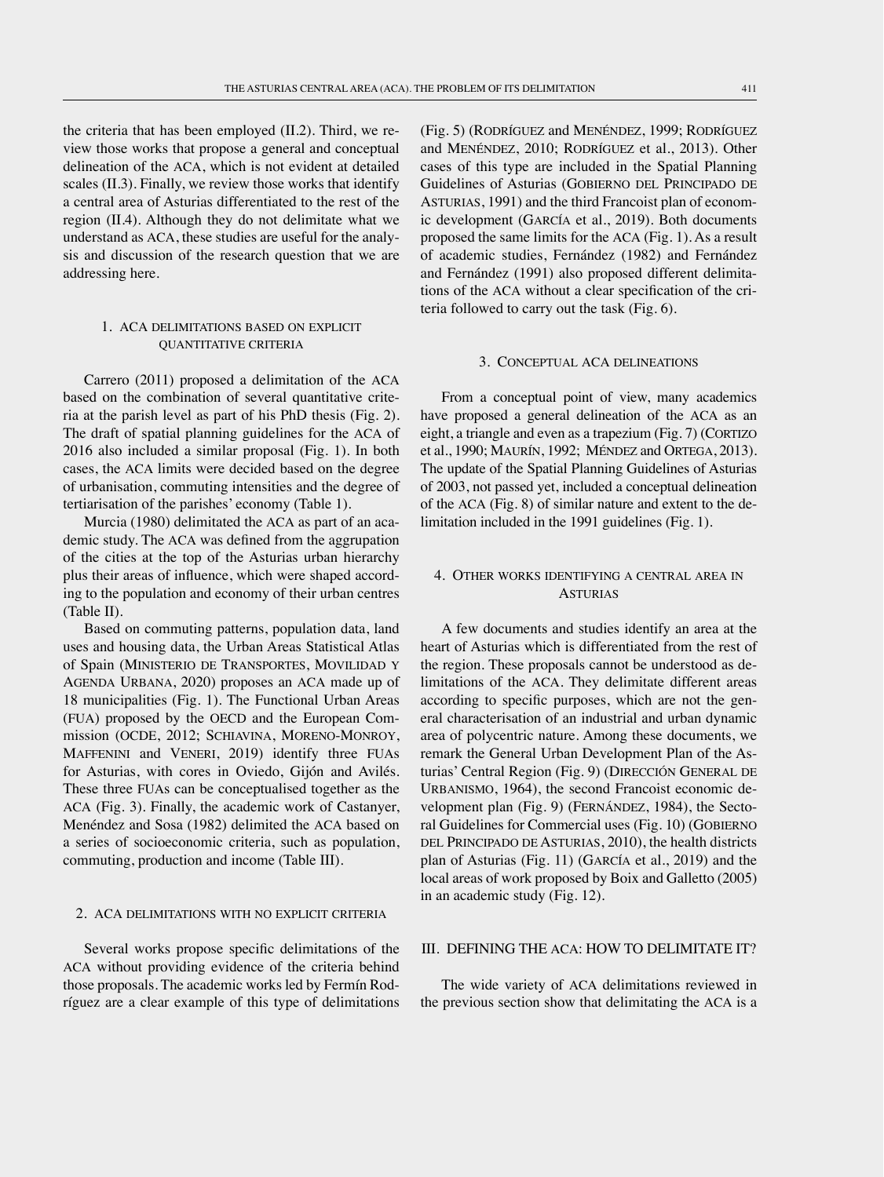the criteria that has been employed (II.2). Third, we review those works that propose a general and conceptual delineation of the ACA, which is not evident at detailed scales (II.3). Finally, we review those works that identify a central area of Asturias differentiated to the rest of the region (II.4). Although they do not delimitate what we understand as ACA, these studies are useful for the analysis and discussion of the research question that we are addressing here.

# 1. ACA delimitations based on explicit quantitative criteria

Carrero (2011) proposed a delimitation of the ACA based on the combination of several quantitative criteria at the parish level as part of his PhD thesis (Fig. 2). The draft of spatial planning guidelines for the ACA of 2016 also included a similar proposal (Fig. 1). In both cases, the ACA limits were decided based on the degree of urbanisation, commuting intensities and the degree of tertiarisation of the parishes' economy (Table 1).

Murcia (1980) delimitated the ACA as part of an academic study. The ACA was defined from the aggrupation of the cities at the top of the Asturias urban hierarchy plus their areas of influence, which were shaped according to the population and economy of their urban centres (Table II).

Based on commuting patterns, population data, land uses and housing data, the Urban Areas Statistical Atlas of Spain (Ministerio de Transportes, Movilidad y AGENDA URBANA, 2020) proposes an ACA made up of 18 municipalities (Fig. 1). The Functional Urban Areas (FUA) proposed by the OECD and the European Commission (OCDE, 2012; SCHIAVINA, MORENO-MONROY, Maffenini and Veneri, 2019) identify three FUAs for Asturias, with cores in Oviedo, Gijón and Avilés. These three FUAs can be conceptualised together as the ACA (Fig. 3). Finally, the academic work of Castanyer, Menéndez and Sosa (1982) delimited the ACA based on a series of socioeconomic criteria, such as population, commuting, production and income (Table III).

#### 2. ACA delimitations with no explicit criteria

Several works propose specific delimitations of the ACA without providing evidence of the criteria behind those proposals. The academic works led by Fermín Rodríguez are a clear example of this type of delimitations (Fig. 5) (Rodríguez and Menéndez, 1999; Rodríguez and MENÉNDEZ, 2010; RODRÍGUEZ et al., 2013). Other cases of this type are included in the Spatial Planning Guidelines of Asturias (GOBIERNO DEL PRINCIPADO DE ASTURIAS, 1991) and the third Francoist plan of economic development (García et al., 2019). Both documents proposed the same limits for the ACA (Fig. 1). As a result of academic studies, Fernández (1982) and Fernández and Fernández (1991) also proposed different delimitations of the ACA without a clear specification of the criteria followed to carry out the task (Fig. 6).

### 3. Conceptual ACA delineations

From a conceptual point of view, many academics have proposed a general delineation of the ACA as an eight, a triangle and even as a trapezium (Fig. 7) (CORTIZO et al., 1990; MAURÍN, 1992; MÉNDEZ and ORTEGA, 2013). The update of the Spatial Planning Guidelines of Asturias of 2003, not passed yet, included a conceptual delineation of the ACA (Fig. 8) of similar nature and extent to the delimitation included in the 1991 guidelines (Fig. 1).

## 4. Other works identifying a central area in **ASTURIAS**

A few documents and studies identify an area at the heart of Asturias which is differentiated from the rest of the region. These proposals cannot be understood as delimitations of the ACA. They delimitate different areas according to specific purposes, which are not the general characterisation of an industrial and urban dynamic area of polycentric nature. Among these documents, we remark the General Urban Development Plan of the Asturias' Central Region (Fig. 9) (DIRECCIÓN GENERAL DE URBANISMO, 1964), the second Francoist economic development plan (Fig. 9) (FERNÁNDEZ, 1984), the Sectoral Guidelines for Commercial uses (Fig. 10) (GOBIERNO del Principado de Asturias, 2010), the health districts plan of Asturias (Fig. 11) (García et al., 2019) and the local areas of work proposed by Boix and Galletto (2005) in an academic study (Fig. 12).

## III. DEFINING THE ACA: HOW TO DELIMITATE IT?

The wide variety of ACA delimitations reviewed in the previous section show that delimitating the ACA is a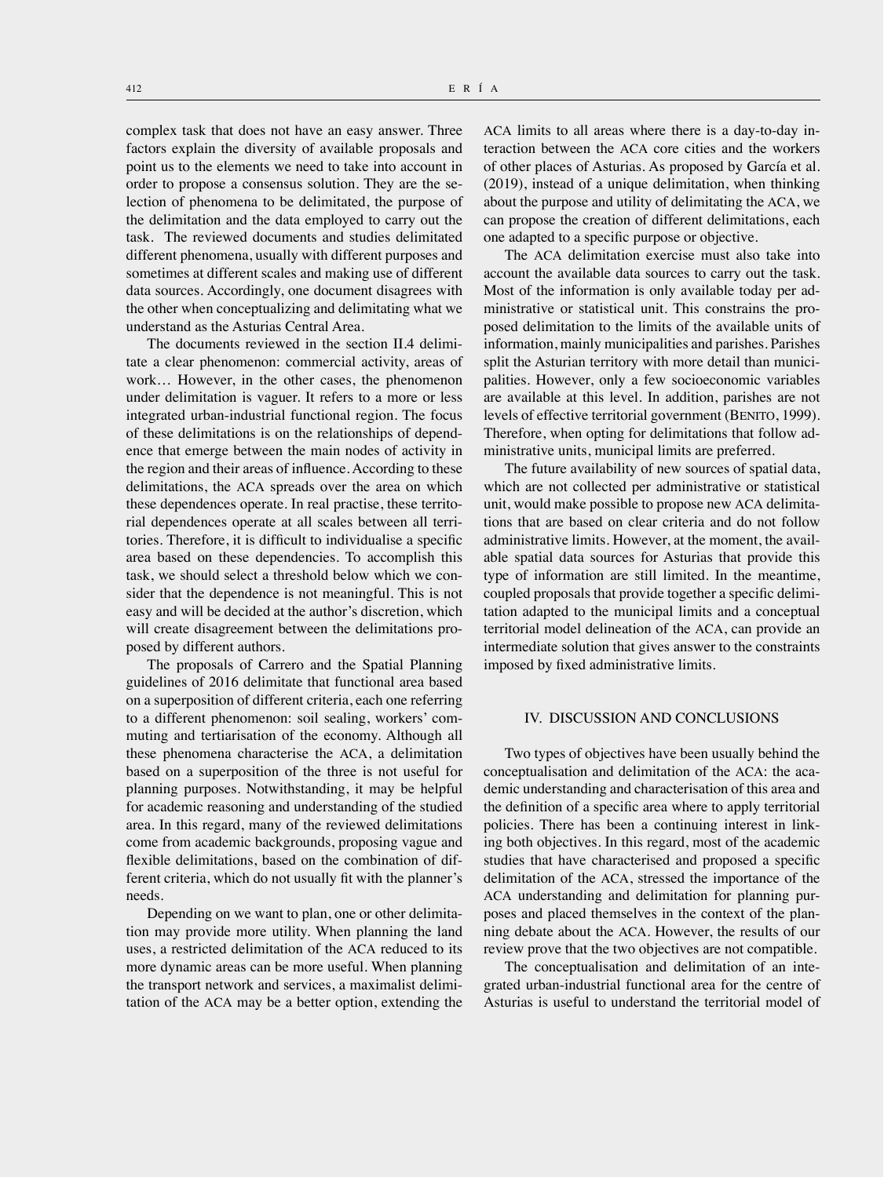complex task that does not have an easy answer. Three factors explain the diversity of available proposals and point us to the elements we need to take into account in order to propose a consensus solution. They are the selection of phenomena to be delimitated, the purpose of the delimitation and the data employed to carry out the task. The reviewed documents and studies delimitated different phenomena, usually with different purposes and sometimes at different scales and making use of different data sources. Accordingly, one document disagrees with the other when conceptualizing and delimitating what we understand as the Asturias Central Area.

The documents reviewed in the section II.4 delimitate a clear phenomenon: commercial activity, areas of work… However, in the other cases, the phenomenon under delimitation is vaguer. It refers to a more or less integrated urban-industrial functional region. The focus of these delimitations is on the relationships of dependence that emerge between the main nodes of activity in the region and their areas of influence. According to these delimitations, the ACA spreads over the area on which these dependences operate. In real practise, these territorial dependences operate at all scales between all territories. Therefore, it is difficult to individualise a specific area based on these dependencies. To accomplish this task, we should select a threshold below which we consider that the dependence is not meaningful. This is not easy and will be decided at the author's discretion, which will create disagreement between the delimitations proposed by different authors.

The proposals of Carrero and the Spatial Planning guidelines of 2016 delimitate that functional area based on a superposition of different criteria, each one referring to a different phenomenon: soil sealing, workers' commuting and tertiarisation of the economy. Although all these phenomena characterise the ACA, a delimitation based on a superposition of the three is not useful for planning purposes. Notwithstanding, it may be helpful for academic reasoning and understanding of the studied area. In this regard, many of the reviewed delimitations come from academic backgrounds, proposing vague and flexible delimitations, based on the combination of different criteria, which do not usually fit with the planner's needs.

Depending on we want to plan, one or other delimitation may provide more utility. When planning the land uses, a restricted delimitation of the ACA reduced to its more dynamic areas can be more useful. When planning the transport network and services, a maximalist delimitation of the ACA may be a better option, extending the ACA limits to all areas where there is a day-to-day interaction between the ACA core cities and the workers of other places of Asturias. As proposed by García et al. (2019), instead of a unique delimitation, when thinking about the purpose and utility of delimitating the ACA, we can propose the creation of different delimitations, each one adapted to a specific purpose or objective.

The ACA delimitation exercise must also take into account the available data sources to carry out the task. Most of the information is only available today per administrative or statistical unit. This constrains the proposed delimitation to the limits of the available units of information, mainly municipalities and parishes. Parishes split the Asturian territory with more detail than municipalities. However, only a few socioeconomic variables are available at this level. In addition, parishes are not levels of effective territorial government (BENITO, 1999). Therefore, when opting for delimitations that follow administrative units, municipal limits are preferred.

The future availability of new sources of spatial data, which are not collected per administrative or statistical unit, would make possible to propose new ACA delimitations that are based on clear criteria and do not follow administrative limits. However, at the moment, the available spatial data sources for Asturias that provide this type of information are still limited. In the meantime, coupled proposals that provide together a specific delimitation adapted to the municipal limits and a conceptual territorial model delineation of the ACA, can provide an intermediate solution that gives answer to the constraints imposed by fixed administrative limits.

## IV. DISCUSSION AND CONCLUSIONS

Two types of objectives have been usually behind the conceptualisation and delimitation of the ACA: the academic understanding and characterisation of this area and the definition of a specific area where to apply territorial policies. There has been a continuing interest in linking both objectives. In this regard, most of the academic studies that have characterised and proposed a specific delimitation of the ACA, stressed the importance of the ACA understanding and delimitation for planning purposes and placed themselves in the context of the planning debate about the ACA. However, the results of our review prove that the two objectives are not compatible.

The conceptualisation and delimitation of an integrated urban-industrial functional area for the centre of Asturias is useful to understand the territorial model of